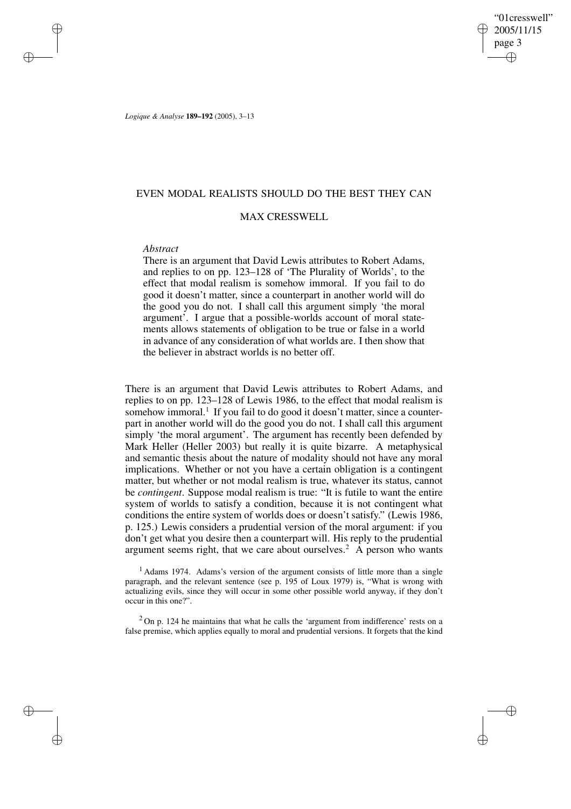"01cresswell" 2005/11/15 page 3 ✐ ✐

✐

✐

*Logique & Analyse* **189–192** (2005), 3–13

## EVEN MODAL REALISTS SHOULD DO THE BEST THEY CAN

# MAX CRESSWELL

## *Abstract*

✐

✐

✐

✐

There is an argument that David Lewis attributes to Robert Adams, and replies to on pp. 123–128 of 'The Plurality of Worlds', to the effect that modal realism is somehow immoral. If you fail to do good it doesn't matter, since a counterpart in another world will do the good you do not. I shall call this argument simply 'the moral argument'. I argue that a possible-worlds account of moral statements allows statements of obligation to be true or false in a world in advance of any consideration of what worlds are. I then show that the believer in abstract worlds is no better off.

There is an argument that David Lewis attributes to Robert Adams, and replies to on pp. 123–128 of Lewis 1986, to the effect that modal realism is somehow immoral.<sup>1</sup> If you fail to do good it doesn't matter, since a counterpart in another world will do the good you do not. I shall call this argument simply 'the moral argument'. The argument has recently been defended by Mark Heller (Heller 2003) but really it is quite bizarre. A metaphysical and semantic thesis about the nature of modality should not have any moral implications. Whether or not you have a certain obligation is a contingent matter, but whether or not modal realism is true, whatever its status, cannot be *contingent*. Suppose modal realism is true: "It is futile to want the entire system of worlds to satisfy a condition, because it is not contingent what conditions the entire system of worlds does or doesn't satisfy." (Lewis 1986, p. 125.) Lewis considers a prudential version of the moral argument: if you don't get what you desire then a counterpart will. His reply to the prudential argument seems right, that we care about ourselves.<sup>2</sup> A person who wants

<sup>1</sup> Adams 1974. Adams's version of the argument consists of little more than a single paragraph, and the relevant sentence (see p. 195 of Loux 1979) is, "What is wrong with actualizing evils, since they will occur in some other possible world anyway, if they don't occur in this one?".

 $2$ On p. 124 he maintains that what he calls the 'argument from indifference' rests on a false premise, which applies equally to moral and prudential versions. It forgets that the kind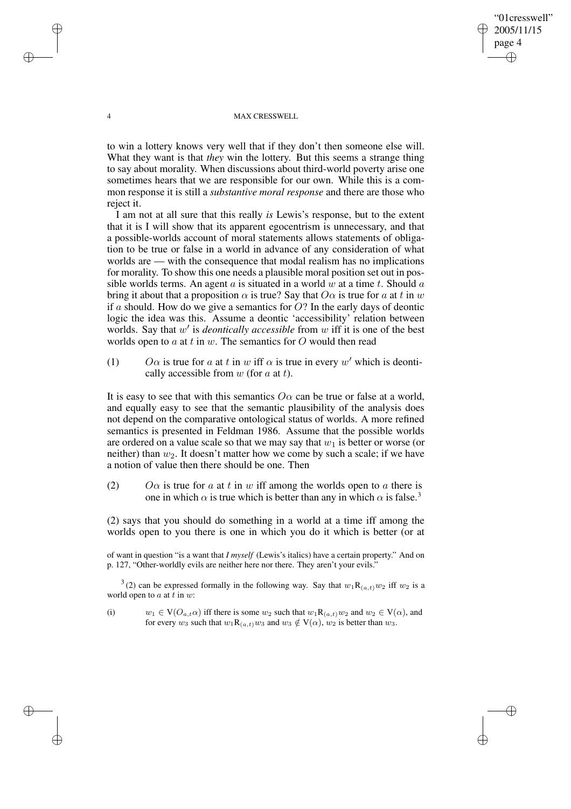"01cresswell" 2005/11/15 page 4 ✐ ✐

✐

✐

## 4 MAX CRESSWELL

to win a lottery knows very well that if they don't then someone else will. What they want is that *they* win the lottery. But this seems a strange thing to say about morality. When discussions about third-world poverty arise one sometimes hears that we are responsible for our own. While this is a common response it is still a *substantive moral response* and there are those who reject it.

I am not at all sure that this really *is* Lewis's response, but to the extent that it is I will show that its apparent egocentrism is unnecessary, and that a possible-worlds account of moral statements allows statements of obligation to be true or false in a world in advance of any consideration of what worlds are — with the consequence that modal realism has no implications for morality. To show this one needs a plausible moral position set out in possible worlds terms. An agent a is situated in a world w at a time t. Should a bring it about that a proposition  $\alpha$  is true? Say that  $O\alpha$  is true for a at t in w if a should. How do we give a semantics for  $O$ ? In the early days of deontic logic the idea was this. Assume a deontic 'accessibility' relation between worlds. Say that  $w'$  is *deontically accessible* from  $w$  iff it is one of the best worlds open to  $a$  at  $t$  in  $w$ . The semantics for  $O$  would then read

(1)  $O\alpha$  is true for a at t in w iff  $\alpha$  is true in every w' which is deontically accessible from  $w$  (for  $a$  at  $t$ ).

It is easy to see that with this semantics  $O\alpha$  can be true or false at a world, and equally easy to see that the semantic plausibility of the analysis does not depend on the comparative ontological status of worlds. A more refined semantics is presented in Feldman 1986. Assume that the possible worlds are ordered on a value scale so that we may say that  $w_1$  is better or worse (or neither) than  $w_2$ . It doesn't matter how we come by such a scale; if we have a notion of value then there should be one. Then

(2)  $O\alpha$  is true for a at t in w iff among the worlds open to a there is one in which  $\alpha$  is true which is better than any in which  $\alpha$  is false.<sup>3</sup>

(2) says that you should do something in a world at a time iff among the worlds open to you there is one in which you do it which is better (or at

of want in question "is a want that *I myself* (Lewis's italics) have a certain property." And on p. 127, "Other-worldly evils are neither here nor there. They aren't your evils."

<sup>3</sup>(2) can be expressed formally in the following way. Say that  $w_1R_{(a,t)}w_2$  iff  $w_2$  is a world open to  $a$  at  $t$  in  $w$ :

(i)  $w_1 \in V(O_{a,t}\alpha)$  iff there is some  $w_2$  such that  $w_1R_{(a,t)}w_2$  and  $w_2 \in V(\alpha)$ , and for every  $w_3$  such that  $w_1R_{(a,t)}w_3$  and  $w_3 \notin V(\alpha)$ ,  $w_2$  is better than  $w_3$ .

✐

✐

✐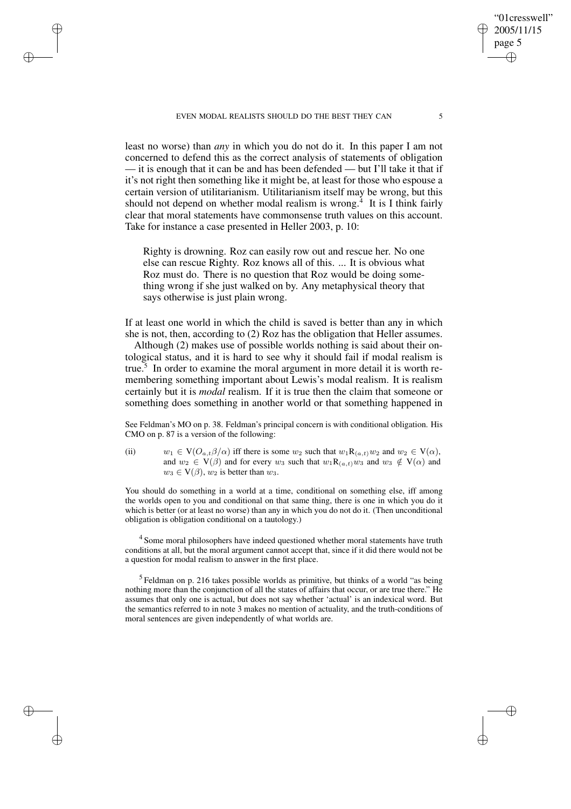EVEN MODAL REALISTS SHOULD DO THE BEST THEY CAN 5

✐

✐

✐

✐

least no worse) than *any* in which you do not do it. In this paper I am not concerned to defend this as the correct analysis of statements of obligation — it is enough that it can be and has been defended — but I'll take it that if it's not right then something like it might be, at least for those who espouse a certain version of utilitarianism. Utilitarianism itself may be wrong, but this should not depend on whether modal realism is wrong.<sup>4</sup> It is I think fairly clear that moral statements have commonsense truth values on this account. Take for instance a case presented in Heller 2003, p. 10:

Righty is drowning. Roz can easily row out and rescue her. No one else can rescue Righty. Roz knows all of this. ... It is obvious what Roz must do. There is no question that Roz would be doing something wrong if she just walked on by. Any metaphysical theory that says otherwise is just plain wrong.

If at least one world in which the child is saved is better than any in which she is not, then, according to (2) Roz has the obligation that Heller assumes.

Although (2) makes use of possible worlds nothing is said about their ontological status, and it is hard to see why it should fail if modal realism is true.<sup>5</sup> In order to examine the moral argument in more detail it is worth remembering something important about Lewis's modal realism. It is realism certainly but it is *modal* realism. If it is true then the claim that someone or something does something in another world or that something happened in

See Feldman's MO on p. 38. Feldman's principal concern is with conditional obligation. His CMO on p. 87 is a version of the following:

(ii)  $w_1 \in V(O_{a,t}\beta/\alpha)$  iff there is some  $w_2$  such that  $w_1R_{(a,t)}w_2$  and  $w_2 \in V(\alpha)$ , and  $w_2 \in V(\beta)$  and for every  $w_3$  such that  $w_1R_{(a,t)}w_3$  and  $w_3 \notin V(\alpha)$  and  $w_3 \in V(\beta)$ ,  $w_2$  is better than  $w_3$ .

You should do something in a world at a time, conditional on something else, iff among the worlds open to you and conditional on that same thing, there is one in which you do it which is better (or at least no worse) than any in which you do not do it. (Then unconditional obligation is obligation conditional on a tautology.)

<sup>4</sup> Some moral philosophers have indeed questioned whether moral statements have truth conditions at all, but the moral argument cannot accept that, since if it did there would not be a question for modal realism to answer in the first place.

<sup>5</sup> Feldman on p. 216 takes possible worlds as primitive, but thinks of a world "as being nothing more than the conjunction of all the states of affairs that occur, or are true there." He assumes that only one is actual, but does not say whether 'actual' is an indexical word. But the semantics referred to in note 3 makes no mention of actuality, and the truth-conditions of moral sentences are given independently of what worlds are.

"01cresswell" 2005/11/15 page 5

✐

✐

✐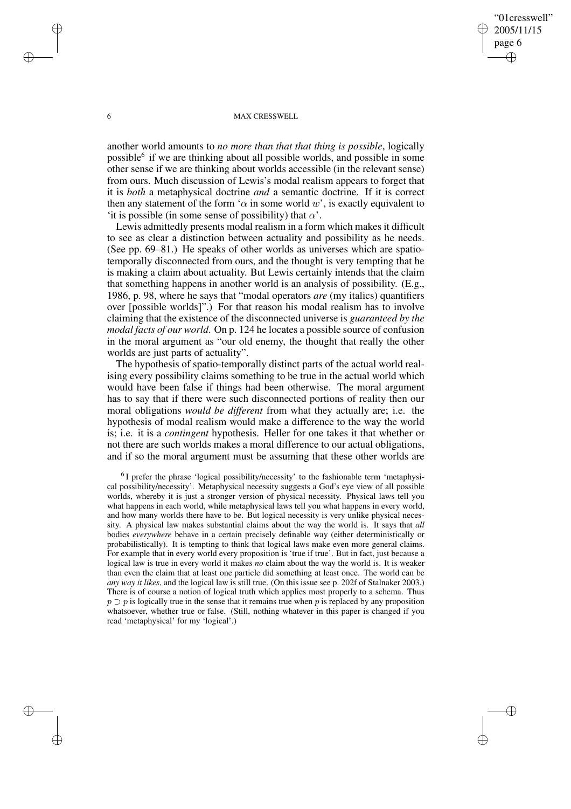"01cresswell" 2005/11/15 page 6 ✐ ✐

✐

✐

## 6 MAX CRESSWELL

✐

✐

✐

✐

another world amounts to *no more than that that thing is possible*, logically possible<sup>6</sup> if we are thinking about all possible worlds, and possible in some other sense if we are thinking about worlds accessible (in the relevant sense) from ours. Much discussion of Lewis's modal realism appears to forget that it is *both* a metaphysical doctrine *and* a semantic doctrine. If it is correct then any statement of the form ' $\alpha$  in some world w', is exactly equivalent to 'it is possible (in some sense of possibility) that  $\alpha'$ .

Lewis admittedly presents modal realism in a form which makes it difficult to see as clear a distinction between actuality and possibility as he needs. (See pp. 69–81.) He speaks of other worlds as universes which are spatiotemporally disconnected from ours, and the thought is very tempting that he is making a claim about actuality. But Lewis certainly intends that the claim that something happens in another world is an analysis of possibility. (E.g., 1986, p. 98, where he says that "modal operators *are* (my italics) quantifiers over [possible worlds]".) For that reason his modal realism has to involve claiming that the existence of the disconnected universe is *guaranteed by the modal facts of our world*. On p. 124 he locates a possible source of confusion in the moral argument as "our old enemy, the thought that really the other worlds are just parts of actuality".

The hypothesis of spatio-temporally distinct parts of the actual world realising every possibility claims something to be true in the actual world which would have been false if things had been otherwise. The moral argument has to say that if there were such disconnected portions of reality then our moral obligations *would be different* from what they actually are; i.e. the hypothesis of modal realism would make a difference to the way the world is; i.e. it is a *contingent* hypothesis. Heller for one takes it that whether or not there are such worlds makes a moral difference to our actual obligations, and if so the moral argument must be assuming that these other worlds are

<sup>6</sup>I prefer the phrase 'logical possibility/necessity' to the fashionable term 'metaphysical possibility/necessity'. Metaphysical necessity suggests a God's eye view of all possible worlds, whereby it is just a stronger version of physical necessity. Physical laws tell you what happens in each world, while metaphysical laws tell you what happens in every world, and how many worlds there have to be. But logical necessity is very unlike physical necessity. A physical law makes substantial claims about the way the world is. It says that *all* bodies *everywhere* behave in a certain precisely definable way (either deterministically or probabilistically). It is tempting to think that logical laws make even more general claims. For example that in every world every proposition is 'true if true'. But in fact, just because a logical law is true in every world it makes *no* claim about the way the world is. It is weaker than even the claim that at least one particle did something at least once. The world can be *any way it likes*, and the logical law is still true. (On this issue see p. 202f of Stalnaker 2003.) There is of course a notion of logical truth which applies most properly to a schema. Thus  $p \supset p$  is logically true in the sense that it remains true when p is replaced by any proposition whatsoever, whether true or false. (Still, nothing whatever in this paper is changed if you read 'metaphysical' for my 'logical'.)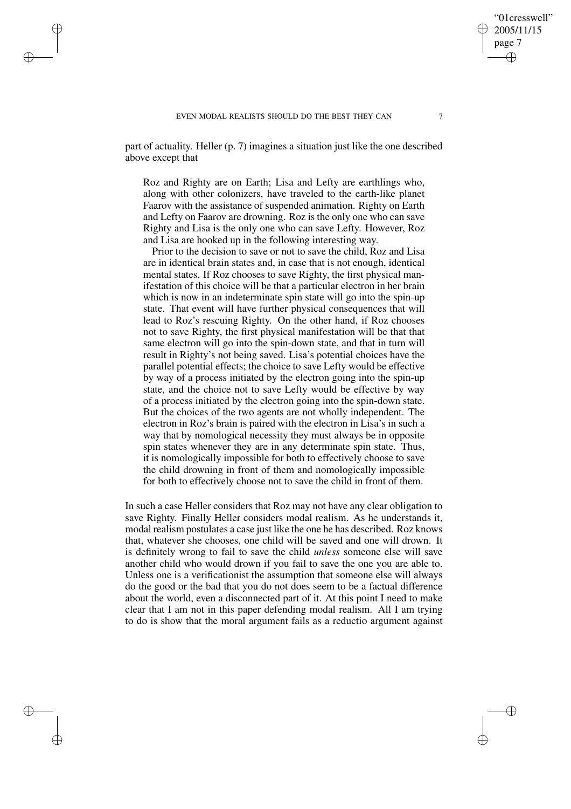✐

✐

✐

✐

part of actuality. Heller (p. 7) imagines a situation just like the one described above except that

Roz and Righty are on Earth; Lisa and Lefty are earthlings who, along with other colonizers, have traveled to the earth-like planet Faarov with the assistance of suspended animation. Righty on Earth and Lefty on Faarov are drowning. Roz is the only one who can save Righty and Lisa is the only one who can save Lefty. However, Roz and Lisa are hooked up in the following interesting way.

Prior to the decision to save or not to save the child, Roz and Lisa are in identical brain states and, in case that is not enough, identical mental states. If Roz chooses to save Righty, the first physical manifestation of this choice will be that a particular electron in her brain which is now in an indeterminate spin state will go into the spin-up state. That event will have further physical consequences that will lead to Roz's rescuing Righty. On the other hand, if Roz chooses not to save Righty, the first physical manifestation will be that that same electron will go into the spin-down state, and that in turn will result in Righty's not being saved. Lisa's potential choices have the parallel potential effects; the choice to save Lefty would be effective by way of a process initiated by the electron going into the spin-up state, and the choice not to save Lefty would be effective by way of a process initiated by the electron going into the spin-down state. But the choices of the two agents are not wholly independent. The electron in Roz's brain is paired with the electron in Lisa's in such a way that by nomological necessity they must always be in opposite spin states whenever they are in any determinate spin state. Thus, it is nomologically impossible for both to effectively choose to save the child drowning in front of them and nomologically impossible for both to effectively choose not to save the child in front of them.

In such a case Heller considers that Roz may not have any clear obligation to save Righty. Finally Heller considers modal realism. As he understands it, modal realism postulates a case just like the one he has described. Roz knows that, whatever she chooses, one child will be saved and one will drown. It is definitely wrong to fail to save the child *unless* someone else will save another child who would drown if you fail to save the one you are able to. Unless one is a verificationist the assumption that someone else will always do the good or the bad that you do not does seem to be a factual difference about the world, even a disconnected part of it. At this point I need to make clear that I am not in this paper defending modal realism. All I am trying to do is show that the moral argument fails as a reductio argument against

"01cresswell" 2005/11/15 page 7

✐

✐

✐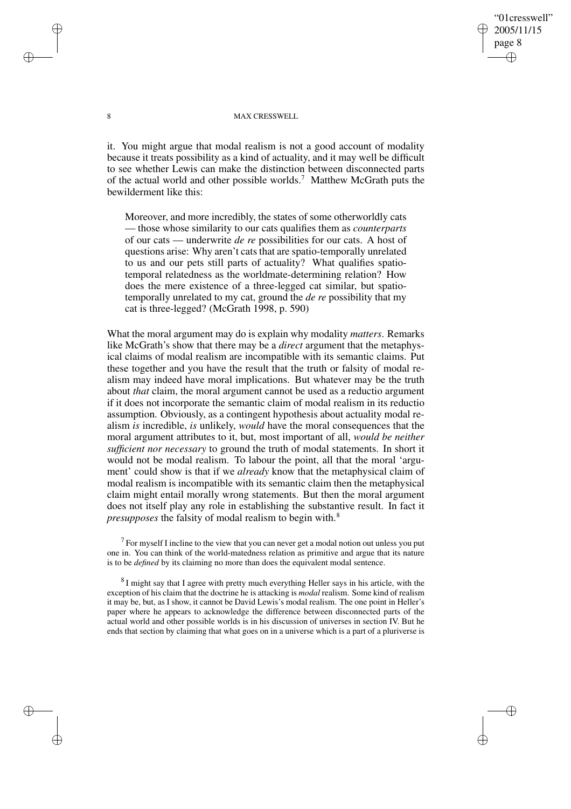"01cresswell" 2005/11/15 page 8 ✐ ✐

✐

✐

## 8 MAX CRESSWELL

it. You might argue that modal realism is not a good account of modality because it treats possibility as a kind of actuality, and it may well be difficult to see whether Lewis can make the distinction between disconnected parts of the actual world and other possible worlds.<sup>7</sup> Matthew McGrath puts the bewilderment like this:

Moreover, and more incredibly, the states of some otherworldly cats — those whose similarity to our cats qualifies them as *counterparts* of our cats — underwrite *de re* possibilities for our cats. A host of questions arise: Why aren't cats that are spatio-temporally unrelated to us and our pets still parts of actuality? What qualifies spatiotemporal relatedness as the worldmate-determining relation? How does the mere existence of a three-legged cat similar, but spatiotemporally unrelated to my cat, ground the *de re* possibility that my cat is three-legged? (McGrath 1998, p. 590)

What the moral argument may do is explain why modality *matters*. Remarks like McGrath's show that there may be a *direct* argument that the metaphysical claims of modal realism are incompatible with its semantic claims. Put these together and you have the result that the truth or falsity of modal realism may indeed have moral implications. But whatever may be the truth about *that* claim, the moral argument cannot be used as a reductio argument if it does not incorporate the semantic claim of modal realism in its reductio assumption. Obviously, as a contingent hypothesis about actuality modal realism *is* incredible, *is* unlikely, *would* have the moral consequences that the moral argument attributes to it, but, most important of all, *would be neither sufficient nor necessary* to ground the truth of modal statements. In short it would not be modal realism. To labour the point, all that the moral 'argument' could show is that if we *already* know that the metaphysical claim of modal realism is incompatible with its semantic claim then the metaphysical claim might entail morally wrong statements. But then the moral argument does not itself play any role in establishing the substantive result. In fact it *presupposes* the falsity of modal realism to begin with.<sup>8</sup>

 $7$  For myself I incline to the view that you can never get a modal notion out unless you put one in. You can think of the world-matedness relation as primitive and argue that its nature is to be *defined* by its claiming no more than does the equivalent modal sentence.

 $8$ I might say that I agree with pretty much everything Heller says in his article, with the exception of his claim that the doctrine he is attacking is *modal* realism. Some kind of realism it may be, but, as I show, it cannot be David Lewis's modal realism. The one point in Heller's paper where he appears to acknowledge the difference between disconnected parts of the actual world and other possible worlds is in his discussion of universes in section IV. But he ends that section by claiming that what goes on in a universe which is a part of a pluriverse is

✐

✐

✐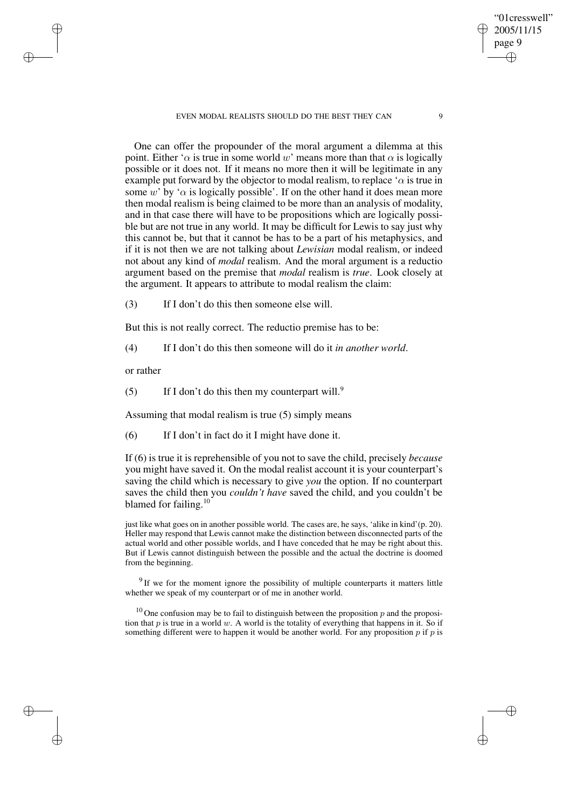EVEN MODAL REALISTS SHOULD DO THE BEST THEY CAN 9

"01cresswell" 2005/11/15 page 9 ✐ ✐

✐

✐

One can offer the propounder of the moral argument a dilemma at this point. Either ' $\alpha$  is true in some world w' means more than that  $\alpha$  is logically possible or it does not. If it means no more then it will be legitimate in any example put forward by the objector to modal realism, to replace ' $\alpha$  is true in some w' by ' $\alpha$  is logically possible'. If on the other hand it does mean more then modal realism is being claimed to be more than an analysis of modality, and in that case there will have to be propositions which are logically possible but are not true in any world. It may be difficult for Lewis to say just why this cannot be, but that it cannot be has to be a part of his metaphysics, and if it is not then we are not talking about *Lewisian* modal realism, or indeed not about any kind of *modal* realism. And the moral argument is a reductio argument based on the premise that *modal* realism is *true*. Look closely at the argument. It appears to attribute to modal realism the claim:

(3) If I don't do this then someone else will.

But this is not really correct. The reductio premise has to be:

(4) If I don't do this then someone will do it *in another world*.

or rather

✐

✐

✐

✐

(5) If I don't do this then my counterpart will.<sup>9</sup>

Assuming that modal realism is true (5) simply means

(6) If I don't in fact do it I might have done it.

If (6) is true it is reprehensible of you not to save the child, precisely *because* you might have saved it. On the modal realist account it is your counterpart's saving the child which is necessary to give *you* the option. If no counterpart saves the child then you *couldn't have* saved the child, and you couldn't be blamed for failing.<sup>10</sup>

just like what goes on in another possible world. The cases are, he says, 'alike in kind'(p. 20). Heller may respond that Lewis cannot make the distinction between disconnected parts of the actual world and other possible worlds, and I have conceded that he may be right about this. But if Lewis cannot distinguish between the possible and the actual the doctrine is doomed from the beginning.

 $9$  If we for the moment ignore the possibility of multiple counterparts it matters little whether we speak of my counterpart or of me in another world.

<sup>10</sup> One confusion may be to fail to distinguish between the proposition p and the proposition that  $p$  is true in a world w. A world is the totality of everything that happens in it. So if something different were to happen it would be another world. For any proposition  $p$  if  $p$  is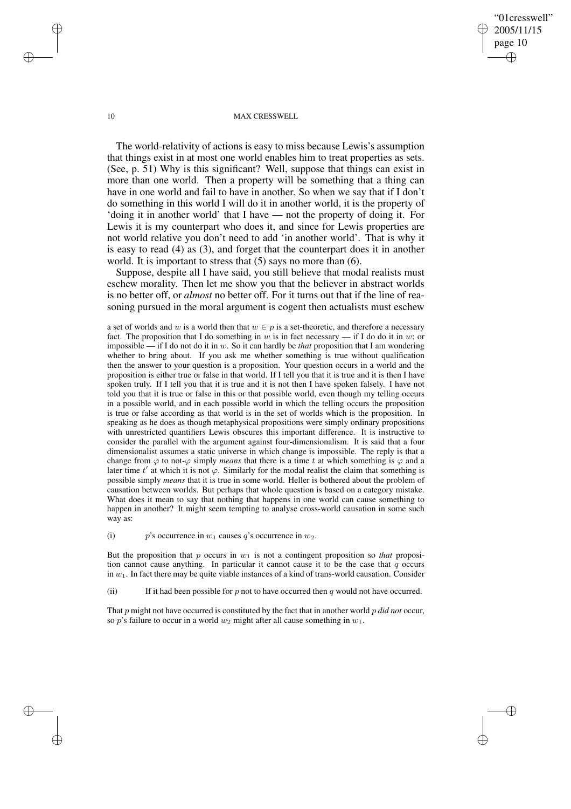✐

✐

### 10 MAX CRESSWELL

The world-relativity of actions is easy to miss because Lewis's assumption that things exist in at most one world enables him to treat properties as sets. (See, p. 51) Why is this significant? Well, suppose that things can exist in more than one world. Then a property will be something that a thing can have in one world and fail to have in another. So when we say that if I don't do something in this world I will do it in another world, it is the property of 'doing it in another world' that I have — not the property of doing it. For Lewis it is my counterpart who does it, and since for Lewis properties are not world relative you don't need to add 'in another world'. That is why it is easy to read (4) as (3), and forget that the counterpart does it in another world. It is important to stress that  $(5)$  says no more than  $(6)$ .

Suppose, despite all I have said, you still believe that modal realists must eschew morality. Then let me show you that the believer in abstract worlds is no better off, or *almost* no better off. For it turns out that if the line of reasoning pursued in the moral argument is cogent then actualists must eschew

a set of worlds and w is a world then that  $w \in p$  is a set-theoretic, and therefore a necessary fact. The proposition that I do something in w is in fact necessary — if I do do it in w; or impossible — if I do not do it in w. So it can hardly be *that* proposition that I am wondering whether to bring about. If you ask me whether something is true without qualification then the answer to your question is a proposition. Your question occurs in a world and the proposition is either true or false in that world. If I tell you that it is true and it is then I have spoken truly. If I tell you that it is true and it is not then I have spoken falsely. I have not told you that it is true or false in this or that possible world, even though my telling occurs in a possible world, and in each possible world in which the telling occurs the proposition is true or false according as that world is in the set of worlds which is the proposition. In speaking as he does as though metaphysical propositions were simply ordinary propositions with unrestricted quantifiers Lewis obscures this important difference. It is instructive to consider the parallel with the argument against four-dimensionalism. It is said that a four dimensionalist assumes a static universe in which change is impossible. The reply is that a change from  $\varphi$  to not- $\varphi$  simply *means* that there is a time t at which something is  $\varphi$  and a later time t' at which it is not  $\varphi$ . Similarly for the modal realist the claim that something is possible simply *means* that it is true in some world. Heller is bothered about the problem of causation between worlds. But perhaps that whole question is based on a category mistake. What does it mean to say that nothing that happens in one world can cause something to happen in another? It might seem tempting to analyse cross-world causation in some such way as:

(i) p's occurrence in  $w_1$  causes q's occurrence in  $w_2$ .

But the proposition that  $p$  occurs in  $w_1$  is not a contingent proposition so *that* proposition cannot cause anything. In particular it cannot cause it to be the case that  $q$  occurs in  $w_1$ . In fact there may be quite viable instances of a kind of trans-world causation. Consider

(ii) If it had been possible for  $p$  not to have occurred then  $q$  would not have occurred.

That p might not have occurred is constituted by the fact that in another world p *did not* occur, so p's failure to occur in a world  $w_2$  might after all cause something in  $w_1$ .

✐

✐

✐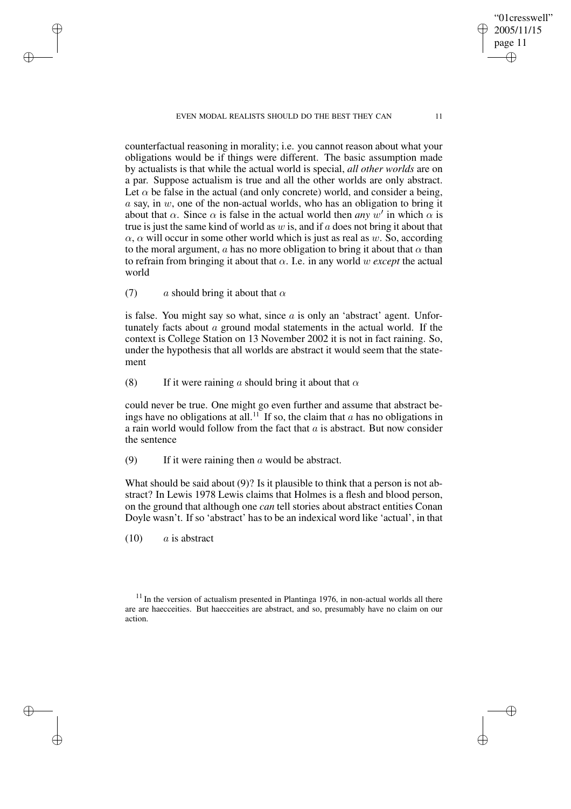EVEN MODAL REALISTS SHOULD DO THE BEST THEY CAN 11

"01cresswell" 2005/11/15 page 11 ✐ ✐

✐

✐

counterfactual reasoning in morality; i.e. you cannot reason about what your obligations would be if things were different. The basic assumption made by actualists is that while the actual world is special, *all other worlds* are on a par. Suppose actualism is true and all the other worlds are only abstract. Let  $\alpha$  be false in the actual (and only concrete) world, and consider a being,  $a$  say, in  $w$ , one of the non-actual worlds, who has an obligation to bring it about that  $\alpha$ . Since  $\alpha$  is false in the actual world then *any* w' in which  $\alpha$  is true is just the same kind of world as  $w$  is, and if  $a$  does not bring it about that  $\alpha$ ,  $\alpha$  will occur in some other world which is just as real as w. So, according to the moral argument, a has no more obligation to bring it about that  $\alpha$  than to refrain from bringing it about that  $\alpha$ . I.e. in any world w *except* the actual world

(7)  $\alpha$  should bring it about that  $\alpha$ 

✐

✐

✐

✐

is false. You might say so what, since  $a$  is only an 'abstract' agent. Unfortunately facts about  $a$  ground modal statements in the actual world. If the context is College Station on 13 November 2002 it is not in fact raining. So, under the hypothesis that all worlds are abstract it would seem that the statement

(8) If it were raining a should bring it about that  $\alpha$ 

could never be true. One might go even further and assume that abstract beings have no obligations at all.<sup>11</sup> If so, the claim that a has no obligations in a rain world would follow from the fact that  $a$  is abstract. But now consider the sentence

(9) If it were raining then  $\alpha$  would be abstract.

What should be said about (9)? Is it plausible to think that a person is not abstract? In Lewis 1978 Lewis claims that Holmes is a flesh and blood person, on the ground that although one *can* tell stories about abstract entities Conan Doyle wasn't. If so 'abstract' has to be an indexical word like 'actual', in that

 $(10)$  a is abstract

 $11$  In the version of actualism presented in Plantinga 1976, in non-actual worlds all there are are haecceities. But haecceities are abstract, and so, presumably have no claim on our action.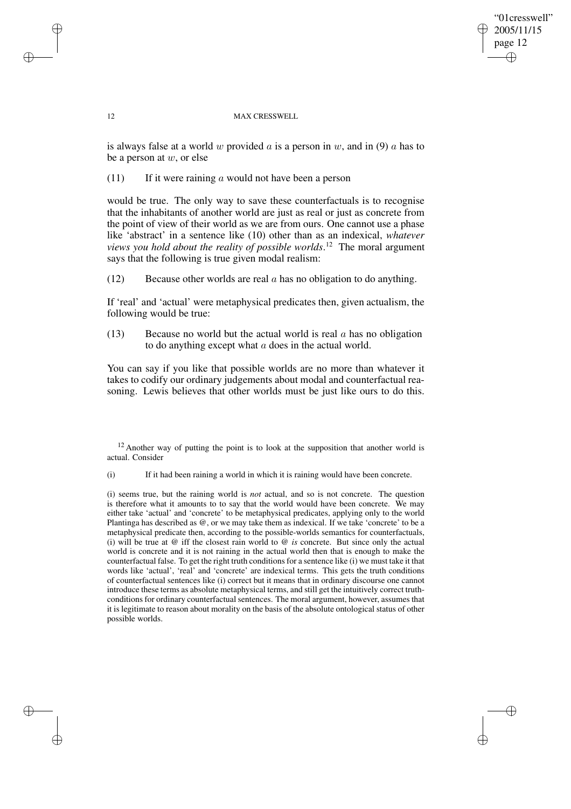## "01cresswell" 2005/11/15 page 12 ✐ ✐

✐

✐

## 12 MAX CRESSWELL

is always false at a world w provided a is a person in w, and in (9) a has to be a person at  $w$ , or else

(11) If it were raining a would not have been a person

✐

✐

✐

✐

would be true. The only way to save these counterfactuals is to recognise that the inhabitants of another world are just as real or just as concrete from the point of view of their world as we are from ours. One cannot use a phase like 'abstract' in a sentence like (10) other than as an indexical, *whatever views you hold about the reality of possible worlds*. <sup>12</sup> The moral argument says that the following is true given modal realism:

(12) Because other worlds are real  $a$  has no obligation to do anything.

If 'real' and 'actual' were metaphysical predicates then, given actualism, the following would be true:

(13) Because no world but the actual world is real  $\alpha$  has no obligation to do anything except what a does in the actual world.

You can say if you like that possible worlds are no more than whatever it takes to codify our ordinary judgements about modal and counterfactual reasoning. Lewis believes that other worlds must be just like ours to do this.

(i) If it had been raining a world in which it is raining would have been concrete.

(i) seems true, but the raining world is *not* actual, and so is not concrete. The question is therefore what it amounts to to say that the world would have been concrete. We may either take 'actual' and 'concrete' to be metaphysical predicates, applying only to the world Plantinga has described as @, or we may take them as indexical. If we take 'concrete' to be a metaphysical predicate then, according to the possible-worlds semantics for counterfactuals, (i) will be true at @ iff the closest rain world to @ *is* concrete. But since only the actual world is concrete and it is not raining in the actual world then that is enough to make the counterfactual false. To get the right truth conditionsfor a sentence like (i) we must take it that words like 'actual', 'real' and 'concrete' are indexical terms. This gets the truth conditions of counterfactual sentences like (i) correct but it means that in ordinary discourse one cannot introduce these terms as absolute metaphysical terms, and still get the intuitively correct truthconditions for ordinary counterfactual sentences. The moral argument, however, assumes that it is legitimate to reason about morality on the basis of the absolute ontological status of other possible worlds.

 $12$  Another way of putting the point is to look at the supposition that another world is actual. Consider